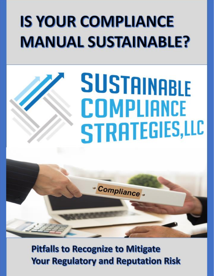# **IS YOUR COMPLIANCE MANUAL SUSTAINABLE?**

# **SUSTAINABLE COMPLIANCE** STRATEGIES,LLC



**Pitfalls to Recognize to Mitigate Your Regulatory and Reputation Risk**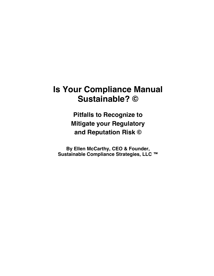## **Is Your Compliance Manual Sustainable? ©**

**Pitfalls to Recognize to Mitigate your Regulatory and Reputation Risk ©**

**By Ellen McCarthy, CEO & Founder, Sustainable Compliance Strategies, LLC ™**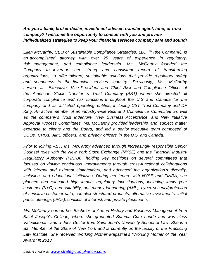#### *Are you a bank, broker-dealer, investment adviser, transfer agent, fund, or trust company? I welcome the opportunity to consult with you and provide individualized strategies to keep your financial services company safe and sound!*

*Ellen McCarthy, CEO of Sustainable Compliance Strategies, LLC* ™ *(the Company), is an accomplished attorney with over 25 years of experience in regulatory, risk management, and compliance leadership. Ms. McCarthy founded the Company to leverage her strong and consistent record of transforming organizations, to offer tailored, sustainable solutions that provide regulatory safety and soundness to the financial services industry. Previously, Ms. McCarthy served as Executive Vice President and Chief Risk and Compliance Officer of the American Stock Transfer & Trust Company (AST) where she directed all corporate compliance and risk functions throughout the U.S and Canada for the company and its affiliated operating entities, including CST Trust Company and DF King. An active member of an industry-wide Risk and Compliance Committee as well*  as the company's Trust Indenture, New Business Acceptance, and New Initiative *Approval Process Committees, Ms. McCarthy provided leadership and subject matter expertise to clients and the Board, and led a senior executive team composed of CCOs, CROs, AML officers, and privacy officers in the U.S. and Canada.* 

*Prior to joining AST, Ms. McCarthy advanced through increasingly responsible Senior Counsel roles with the New York Stock Exchange (NYSE) and the Financial Industry Regulatory Authority (FINRA), holding key positions on several committees that focused on driving continuous improvements through cross-functional collaborations with internal and external stakeholders, and advanced the organization's diversity, inclusion, and educational initiatives. During her tenure with NYSE and FINRA, she planned and executed high impact regulatory investigations, including know your customer (KYC) and suitability, anti-money laundering (AML), cyber security/protection of sensitive customer data, complex structured products, alternative investments, initial public offerings (IPOs), conflicts of interest, and private placements.* 

*Ms. McCarthy earned her Bachelor of Arts in History and Business Management from Saint Joseph's College, where she graduated Summa Cum Laude and was class Valedictorian, and a Juris Doctor from Saint John's University School of Law. She is a*  Bar Member of the State of New York and is currently on the faculty of the Practicing *Law Institute. She received Working Mother Magazine's "Working Mother of the Year Award" in 2013.* 

*Learn more at [www.strategicompliance.com.](http://www.strategicompliance.com/)*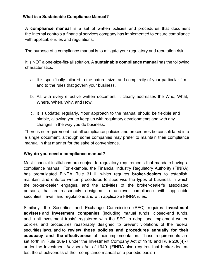#### **What is a Sustainable Compliance Manual?**

A **compliance manual** is a set of written policies and procedures that document the internal controls a financial services company has implemented to ensure compliance with applicable rules and regulations.

The purpose of a compliance manual is to mitigate your regulatory and reputation risk.

It is NOT a one-size-fits-all solution. A **sustainable compliance manual** has the following characteristics:

- a. It is specifically tailored to the nature, size, and complexity of your particular firm, and to the rules that govern your business.
- b. As with every effective written document, it clearly addresses the Who, What, Where, When, Why, and How.
- c. It is updated regularly. Your approach to the manual should be flexible and nimble, allowing you to keep up with regulatory developments and with any changes in the way you do business.

There is no requirement that all compliance policies and procedures be consolidated into a single document, although some companies may prefer to maintain their compliance manual in that manner for the sake of convenience.

#### **Why do you need a compliance manual?**

Most financial institutions are subject to regulatory requirements that mandate having a compliance manual. For example, the Financial Industry Regulatory Authority (FINRA) has promulgated FINRA Rule 3110, which requires **broker-dealers** to establish, maintain, and enforce written procedures to supervise the types of business in which the broker-dealer engages, and the activities of the broker-dealer's associated persons, that are reasonably designed to achieve compliance with applicable securities laws and regulations and with applicable FINRA rules.

Similarly, the Securities and Exchange Commission (SEC) requires **investment advisers** and **investment companies** (including mutual funds, closed-end funds, and unit investment trusts) registered with the SEC to adopt and implement written policies and procedures reasonably designed to prevent violations of the federal securities laws, and to **review those policies and procedures annually for their adequacy and the effectiveness** of their implementation. These requirements are set forth in Rule 38a-1 under the Investment Company Act of 1940 and Rule 206(4)-7 under the Investment Advisers Act of 1940. (FINRA also requires that broker-dealers test the effectiveness of their compliance manual on a periodic basis.)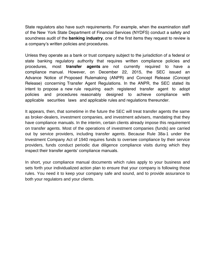State regulators also have such requirements. For example, when the examination staff of the New York State Department of Financial Services (NYDFS) conduct a safety and soundness audit of the **banking industry**, one of the first items they request to review is a company's written policies and procedures.

Unless they operate as a bank or trust company subject to the jurisdiction of a federal or state banking regulatory authority that requires written compliance policies and procedures, most **transfer agents** are not currently required to have a compliance manual. However, on December 22, 2015, the SEC issued an Advance Notice of Proposed Rulemaking (ANPR) and Concept Release (Concept Release) concerning Transfer Agent Regulations. In the ANPR, the SEC stated its intent to propose a new rule requiring each registered transfer agent to adopt policies and procedures reasonably designed to achieve compliance with applicable securities laws and applicable rules and regulations thereunder.

It appears, then, that sometime in the future the SEC will treat transfer agents the same as broker-dealers, investment companies, and investment advisers, mandating that they have compliance manuals. In the interim, certain clients already impose this requirement on transfer agents. Most of the operations of investment companies (funds) are carried out by service providers, including transfer agents. Because Rule 38a-1 under the Investment Company Act of 1940 requires funds to oversee compliance by their service providers, funds conduct periodic due diligence compliance visits during which they inspect their transfer agents' compliance manuals.

In short, your compliance manual documents which rules apply to your business and sets forth your individualized action plan to ensure that your company is following those rules. You need it to keep your company safe and sound, and to provide assurance to both your regulators and your clients.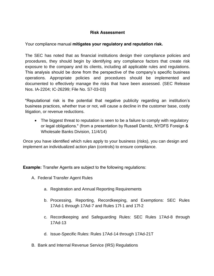#### **Risk Assessment**

#### Your compliance manual **mitigates your regulatory and reputation risk.**

The SEC has noted that as financial institutions design their compliance policies and procedures, they should begin by identifying any compliance factors that create risk exposure to the company and its clients, including all applicable rules and regulations. This analysis should be done from the perspective of the company's specific business operations. Appropriate policies and procedures should be implemented and documented to effectively manage the risks that have been assessed. (SEC Release Nos. IA-2204; IC-26299; File No. S7-03-03)

"Reputational risk is the potential that negative publicity regarding an institution's business practices, whether true or not, will cause a decline in the customer base, costly litigation, or revenue reductions.

• The biggest threat to reputation is seen to be a failure to comply with regulatory or legal obligations." (from a presentation by Russell Damitz, NYDFS Foreign & Wholesale Banks Division, 11/4/14)

Once you have identified which rules apply to your business (risks), you can design and implement an individualized action plan (controls) to ensure compliance.

**Example:** Transfer Agents are subject to the following regulations:

- A. Federal Transfer Agent Rules
	- a. Registration and Annual Reporting Requirements
	- b. Processing, Reporting, Recordkeeping, and Exemptions: SEC Rules 17Ad-1 through 17Ad-7 and Rules 17f-1 and 17f-2
	- c. Recordkeeping and Safeguarding Rules: SEC Rules 17Ad-8 through 17Ad-13
	- d. Issue-Specific Rules: Rules 17Ad-14 through 17Ad-21T
- B. Bank and Internal Revenue Service (IRS) Regulations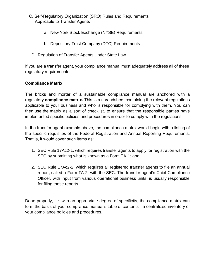- C. Self-Regulatory Organization (SRO) Rules and Requirements Applicable to Transfer Agents
	- a. New York Stock Exchange (NYSE) Requirements
	- b. Depository Trust Company (DTC) Requirements
	- D. Regulation of Transfer Agents Under State Law

If you are a transfer agent, your compliance manual must adequately address all of these regulatory requirements.

#### **Compliance Matrix**

The bricks and mortar of a sustainable compliance manual are anchored with a regulatory **compliance matrix.** This is a spreadsheet containing the relevant regulations applicable to your business and who is responsible for complying with them. You can then use the matrix as a sort of checklist, to ensure that the responsible parties have implemented specific policies and procedures in order to comply with the regulations.

In the transfer agent example above, the compliance matrix would begin with a listing of the specific requisites of the Federal Registration and Annual Reporting Requirements. That is, it would cover such items as:

- 1. SEC Rule 17Ac2-1, which requires transfer agents to apply for registration with the SEC by submitting what is known as a Form TA-1; and
- 2. SEC Rule 17Ac2-2, which requires all registered transfer agents to file an annual report, called a Form TA-2, with the SEC. The transfer agent's Chief Compliance Officer, with input from various operational business units, is usually responsible for filing these reports.

Done properly, i.e. with an appropriate degree of specificity, the compliance matrix can form the basis of your compliance manual's table of contents - a centralized inventory of your compliance policies and procedures.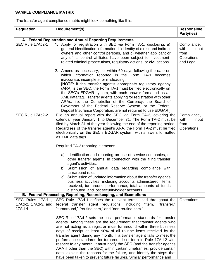#### **SAMPLE COMPLIANCE MATRIX**

The transfer agent compliance matrix might look something like this:

| Regulation                                                      | Requirement(s)                                                                                                                                                                                                                                                                                                                                                                                                                                                                                                                                                                                                                                                                                                                                                                                                                                                                                              | Responsible<br>Party(ies)                                       |  |  |  |
|-----------------------------------------------------------------|-------------------------------------------------------------------------------------------------------------------------------------------------------------------------------------------------------------------------------------------------------------------------------------------------------------------------------------------------------------------------------------------------------------------------------------------------------------------------------------------------------------------------------------------------------------------------------------------------------------------------------------------------------------------------------------------------------------------------------------------------------------------------------------------------------------------------------------------------------------------------------------------------------------|-----------------------------------------------------------------|--|--|--|
| A. Federal Registration and Annual Reporting Requirements       |                                                                                                                                                                                                                                                                                                                                                                                                                                                                                                                                                                                                                                                                                                                                                                                                                                                                                                             |                                                                 |  |  |  |
| SEC Rule 17Ac2-1                                                | 1. Apply for registration with SEC via Form TA-1, disclosing: a)<br>general identification information, b) identity of direct and indirect<br>owners and other control persons, and c) whether applicant or<br>any of its control affiliates have been subject to investment-<br>related criminal prosecutions, regulatory actions, or civil actions.                                                                                                                                                                                                                                                                                                                                                                                                                                                                                                                                                       | Compliance,<br>with<br>input<br>from<br>Operations<br>and Legal |  |  |  |
|                                                                 | 2. Amend as necessary, i.e. within 60 days following the date on<br>which information reported in the Form TA-1 becomes<br>inaccurate, incomplete, or misleading.<br>[NOTE: If the transfer agent's appropriate regulatory agency<br>(ARA) is the SEC, the Form TA-1 must be filed electronically on<br>the SEC's EDGAR system, with each answer formatted as an<br>XML data tag. Transfer agents applying for registration with other<br>ARAs, i.e. the Comptroller of the Currency, the Board of<br>Governors of the Federal Reserve System, or the Federal<br>Deposit Insurance Corporation, are not required to use EDGAR.]                                                                                                                                                                                                                                                                             |                                                                 |  |  |  |
| SEC Rule 17Ac2-2                                                | File an annual report with the SEC via Form TA-2, covering the<br>calendar year January 1 to December 31. The Form TA-2 must be<br>filed by March 31 of the year following the end of the reporting period.<br>Regardless of the transfer agent's ARA, the Form TA-2 must be filed<br>electronically on the SEC's EDGAR system, with answers formatted<br>as XML data tags.<br>Required TA-2 reporting elements:<br>a) Identification and reporting on use of service companies, or<br>other transfer agents, in connection with the filing transfer<br>agent's activities;<br>b) Submission of annual data regarding compliance with<br>turnaround rules:<br>c) Submission of updated information about the transfer agent's<br>business activities, including accounts administered, items<br>received, turnaround performance, total amounts of funds<br>distributed, and lost security holder accounts. | Compliance,<br>with<br>input<br>from<br>Operations              |  |  |  |
| B. Federal Processing, Reporting, Recordkeeping, and Exemptions |                                                                                                                                                                                                                                                                                                                                                                                                                                                                                                                                                                                                                                                                                                                                                                                                                                                                                                             |                                                                 |  |  |  |
| SEC Rules 17Ad-1,<br>17Ad-2, 17Ad-3, and<br>17Ad-4              | SEC Rule 17Ad-1 defines the relevant terms used throughout the<br>Operations<br>federal transfer agent regulations, including "item," "transfer,"<br>"turnaround," "routine item," and "non-routine item."                                                                                                                                                                                                                                                                                                                                                                                                                                                                                                                                                                                                                                                                                                  |                                                                 |  |  |  |
|                                                                 | SEC Rule 17Ad-2 sets the basic performance standards for transfer<br>agents. Among these are the requirement that transfer agents who<br>are not acting as a registrar must turnaround within three business<br>days of receipt at least 90% of all routine items received by the<br>transfer agent during any month. If a transfer agent fails to meet the<br>performance standards for turnaround set forth in Rule 17Ad-2 with<br>respect to any month, it must notify the SEC (and the transfer agent's<br>ARA if other than the SEC) within certain timeframes, provide certain<br>data, explain the reasons for the failure, and identify the steps that<br>have been taken to prevent future failures. Similar performance and                                                                                                                                                                       |                                                                 |  |  |  |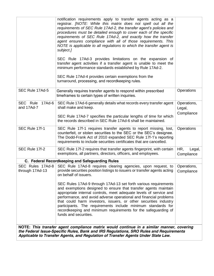|                                                                                                                                                                                                                                                                         | notification requirements apply to transfer agents acting as a<br>registrar. [NOTE: While this matrix does not spell out all the<br>requirements of SEC Rule 17Ad-2, the transfer agent's policies and<br>procedures must be detailed enough to cover each of the specific<br>requirements of SEC Rule 17Ad-2, and exactly how the transfer<br>agent ensures compliance with all of those requirements. This<br>NOTE is applicable to all regulations to which the transfer agent is<br>subject.]<br>SEC Rule 17Ad-3 provides limitations on the expansion of<br>transfer agent activities if a transfer agent is unable to meet the<br>minimum performance standards established by Rule 17Ad-2.<br>SEC Rule 17Ad-4 provides certain exemptions from the<br>turnaround, processing, and recordkeeping rules. |                             |  |  |  |
|-------------------------------------------------------------------------------------------------------------------------------------------------------------------------------------------------------------------------------------------------------------------------|---------------------------------------------------------------------------------------------------------------------------------------------------------------------------------------------------------------------------------------------------------------------------------------------------------------------------------------------------------------------------------------------------------------------------------------------------------------------------------------------------------------------------------------------------------------------------------------------------------------------------------------------------------------------------------------------------------------------------------------------------------------------------------------------------------------|-----------------------------|--|--|--|
| SEC Rule 17Ad-5                                                                                                                                                                                                                                                         | Generally requires transfer agents to respond within prescribed<br>timeframes to certain types of written inquiries.                                                                                                                                                                                                                                                                                                                                                                                                                                                                                                                                                                                                                                                                                          | Operations                  |  |  |  |
| SEC Rule<br>$17Ad-6$<br>and 17Ad-7                                                                                                                                                                                                                                      | SEC Rule 17Ad-6 generally details what records every transfer agent<br>shall make and keep.                                                                                                                                                                                                                                                                                                                                                                                                                                                                                                                                                                                                                                                                                                                   | Operations,<br>Legal,       |  |  |  |
|                                                                                                                                                                                                                                                                         | SEC Rule 17Ad-7 specifies the particular lengths of time for which<br>the records described in SEC Rule 17Ad-6 shall be maintained.                                                                                                                                                                                                                                                                                                                                                                                                                                                                                                                                                                                                                                                                           | Compliance                  |  |  |  |
| SEC Rule 17f-1                                                                                                                                                                                                                                                          | SEC Rule 17f-1 requires transfer agents to report missing, lost,<br>counterfeit, or stolen securities to the SEC or the SEC's designee.<br>The Dodd-Frank Act of 2010 expanded SEC Rule 17f-1's reporting<br>requirements to include securities certificates that are cancelled.                                                                                                                                                                                                                                                                                                                                                                                                                                                                                                                              | Operations                  |  |  |  |
| SEC Rule 17f-2                                                                                                                                                                                                                                                          | SEC Rule 17f-2 requires that transfer agents fingerprint, with certain<br>exemptions, all partners, directors, officers, and employees.                                                                                                                                                                                                                                                                                                                                                                                                                                                                                                                                                                                                                                                                       | HR,<br>Legal,<br>Compliance |  |  |  |
| C. Federal Recordkeeping and Safeguarding Rules                                                                                                                                                                                                                         |                                                                                                                                                                                                                                                                                                                                                                                                                                                                                                                                                                                                                                                                                                                                                                                                               |                             |  |  |  |
| SEC Rules 17Ad-8<br>through 17Ad-13                                                                                                                                                                                                                                     | SEC Rule 17Ad-8 requires clearing agencies, upon request, to<br>provide securities position listings to issuers or transfer agents acting<br>on behalf of issuers.                                                                                                                                                                                                                                                                                                                                                                                                                                                                                                                                                                                                                                            | Operations,<br>Compliance   |  |  |  |
|                                                                                                                                                                                                                                                                         | SEC Rules 17Ad-9 through 17Ad-13 set forth various requirements<br>and exemptions designed to ensure that transfer agents maintain<br>appropriate internal controls, meet adequate levels of service and<br>performance, and avoid adverse operational and financial problems<br>that could harm investors, issuers, or other securities industry<br>participants. The requirements include minimum standards for<br>recordkeeping and minimum requirements for the safeguarding of<br>funds and securities.                                                                                                                                                                                                                                                                                                  |                             |  |  |  |
| NOTE: This transfer agent compliance matrix would continue in a similar manner, covering<br>the Federal Issue-Specific Rules, Bank and IRS Regulations, SRO Rules and Requirements<br>Applicable to Transfer Agents, and Regulation of Transfer Agents Under State Law. |                                                                                                                                                                                                                                                                                                                                                                                                                                                                                                                                                                                                                                                                                                                                                                                                               |                             |  |  |  |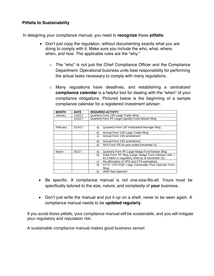#### **Pitfalls to Sustainability**

In designing your compliance manual, you need to **recognize** these **pitfalls**:

- Don't just copy the regulation, without documenting exactly what you are doing to comply with it. Make sure you include the who, what, where, when, and how. The applicable rules are the "why."
	- o The "who" is not just the Chief Compliance Officer and the Compliance Department. Operational business units bear responsibility for performing the actual tasks necessary to comply with many regulations.
	- o Many regulations have deadlines, and establishing a centralized **compliance calendar** is a helpful tool for dealing with the "when" of your compliance obligations. Pictured below is the beginning of a sample compliance calendar for a registered investment adviser:

| <b>MONTH</b> | <b>DATE</b> | <b>REQUIRED ACTIVITY</b>                                       |
|--------------|-------------|----------------------------------------------------------------|
| January      | 1/10/17     | Quarterly Form 13H Large Trader filing                         |
|              | 1/15/17     | Quarterly Form PF Large Liquidity Fund Adviser filing          |
|              |             |                                                                |
| February     | 2/14/17     | Quarterly Form 13F Institutional Manager filing<br>a)          |
|              |             | b)<br>Annual Form 13H Large Trader filing                      |
|              |             | Annual Form 13D amendment<br>C)                                |
|              |             | Annual Form 13G amendment<br>d)                                |
|              |             | NFA Form PR for year ended December 31<br>e)                   |
|              |             |                                                                |
| March        | 3/1/17      | Quarterly Form PF Large Hedge Fund Adviser filing<br>a)        |
|              |             | Initial Form PF filing (Large Hedge Fund Advisers with ><br>b) |
|              |             | \$1.5 billion in regulatory AUM as of December 31)             |
|              |             | Re-affirmation of CPO and CTA exemptions<br>C)                 |
|              |             | CFTC CPO-PQR Large Commodity Pool Operator Form<br>d)          |
|              |             | filing                                                         |
|              |             | IARD fees payment<br>e)                                        |

- Be specific. A compliance manual is not one-size-fits-all. Yours must be specifically tailored to the size, nature, and complexity of **your** business.
- Don't just write the manual and put it up on a shelf, never to be seen again. A compliance manual needs to be **updated regularly**.

If you avoid these pitfalls, your compliance manual will be sustainable, and you will mitigate your regulatory and reputation risk.

A sustainable compliance manual makes good business sense!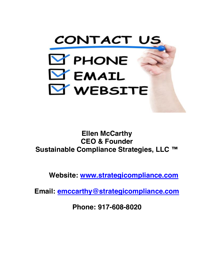

### **Ellen McCarthy CEO & Founder Sustainable Compliance Strategies, LLC ™**

**Websit[e: www.strategicompliance.com](http://www.strategicompliance.com/)**

**Email: [emccarthy@strategicompliance.com](mailto:emccarthy@strategicompliance.com)**

**Phone: 917-608-8020**